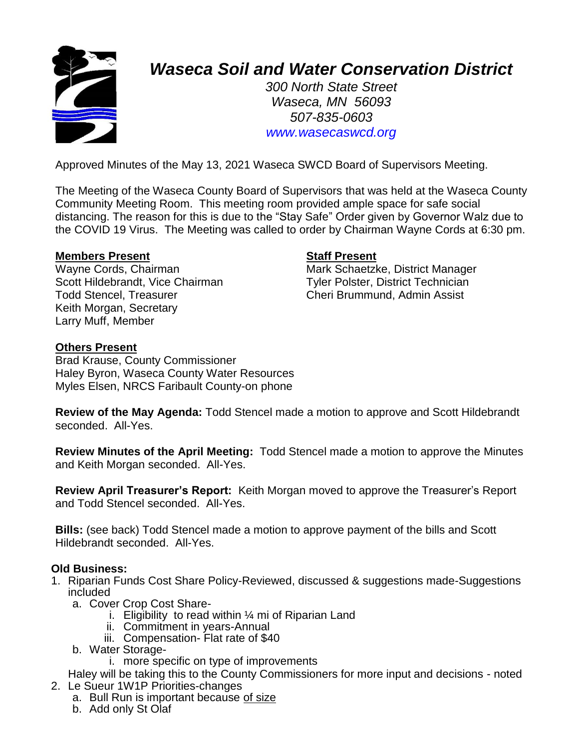

# *Waseca Soil and Water Conservation District*

*300 North State Street Waseca, MN 56093 507-835-0603 www.wasecaswcd.org*

Approved Minutes of the May 13, 2021 Waseca SWCD Board of Supervisors Meeting.

The Meeting of the Waseca County Board of Supervisors that was held at the Waseca County Community Meeting Room. This meeting room provided ample space for safe social distancing. The reason for this is due to the "Stay Safe" Order given by Governor Walz due to the COVID 19 Virus. The Meeting was called to order by Chairman Wayne Cords at 6:30 pm.

### **Members Present Staff Present**

Wayne Cords, Chairman Mark Schaetzke, District Manager Scott Hildebrandt, Vice Chairman Tyler Polster, District Technician Todd Stencel, Treasurer Cheri Brummund, Admin Assist Keith Morgan, Secretary Larry Muff, Member

# **Others Present**

Brad Krause, County Commissioner Haley Byron, Waseca County Water Resources Myles Elsen, NRCS Faribault County-on phone

**Review of the May Agenda:** Todd Stencel made a motion to approve and Scott Hildebrandt seconded. All-Yes.

**Review Minutes of the April Meeting:** Todd Stencel made a motion to approve the Minutes and Keith Morgan seconded. All-Yes.

**Review April Treasurer's Report:** Keith Morgan moved to approve the Treasurer's Report and Todd Stencel seconded. All-Yes.

**Bills:** (see back) Todd Stencel made a motion to approve payment of the bills and Scott Hildebrandt seconded. All-Yes.

# **Old Business:**

- 1. Riparian Funds Cost Share Policy-Reviewed, discussed & suggestions made-Suggestions included
	- a. Cover Crop Cost Share
		- i. Eligibility to read within  $\frac{1}{4}$  mi of Riparian Land
		- ii. Commitment in years-Annual
		- iii. Compensation- Flat rate of \$40
	- b. Water Storage
		- i. more specific on type of improvements

Haley will be taking this to the County Commissioners for more input and decisions - noted 2. Le Sueur 1W1P Priorities-changes

- a. Bull Run is important because of size
- b. Add only St Olaf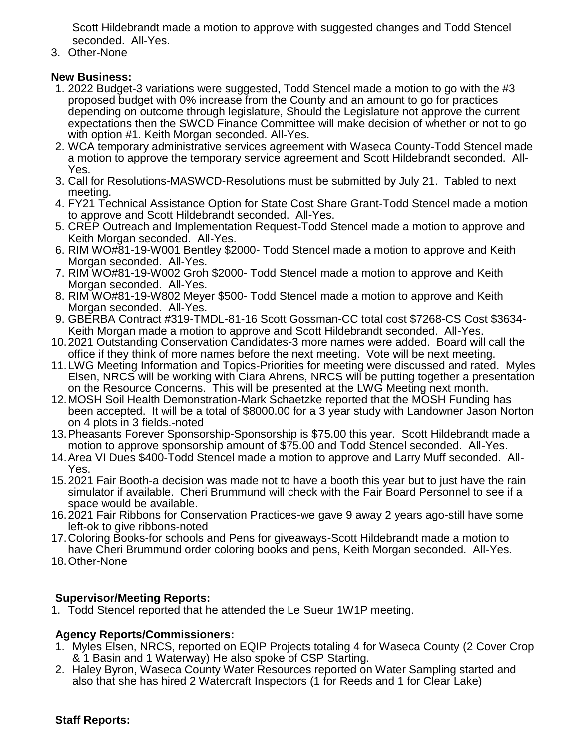Scott Hildebrandt made a motion to approve with suggested changes and Todd Stencel seconded. All-Yes.

3. Other-None

# **New Business:**

- 1. 2022 Budget-3 variations were suggested, Todd Stencel made a motion to go with the #3 proposed budget with 0% increase from the County and an amount to go for practices depending on outcome through legislature, Should the Legislature not approve the current expectations then the SWCD Finance Committee will make decision of whether or not to go with option #1. Keith Morgan seconded. All-Yes.
- 2. WCA temporary administrative services agreement with Waseca County-Todd Stencel made a motion to approve the temporary service agreement and Scott Hildebrandt seconded. All-Yes.
- 3. Call for Resolutions-MASWCD-Resolutions must be submitted by July 21. Tabled to next meeting.
- 4. FY21 Technical Assistance Option for State Cost Share Grant-Todd Stencel made a motion to approve and Scott Hildebrandt seconded. All-Yes.
- 5. CREP Outreach and Implementation Request-Todd Stencel made a motion to approve and Keith Morgan seconded. All-Yes.
- 6. RIM WO#81-19-W001 Bentley \$2000- Todd Stencel made a motion to approve and Keith Morgan seconded. All-Yes.
- 7. RIM WO#81-19-W002 Groh \$2000- Todd Stencel made a motion to approve and Keith Morgan seconded. All-Yes.
- 8. RIM WO#81-19-W802 Meyer \$500- Todd Stencel made a motion to approve and Keith Morgan seconded. All-Yes.
- 9. GBERBA Contract #319-TMDL-81-16 Scott Gossman-CC total cost \$7268-CS Cost \$3634- Keith Morgan made a motion to approve and Scott Hildebrandt seconded. All-Yes.
- 10.2021 Outstanding Conservation Candidates-3 more names were added. Board will call the office if they think of more names before the next meeting. Vote will be next meeting.
- 11.LWG Meeting Information and Topics-Priorities for meeting were discussed and rated. Myles Elsen, NRCS will be working with Ciara Ahrens, NRCS will be putting together a presentation on the Resource Concerns. This will be presented at the LWG Meeting next month.
- 12.MOSH Soil Health Demonstration-Mark Schaetzke reported that the MOSH Funding has been accepted. It will be a total of \$8000.00 for a 3 year study with Landowner Jason Norton on 4 plots in 3 fields.-noted
- 13.Pheasants Forever Sponsorship-Sponsorship is \$75.00 this year. Scott Hildebrandt made a motion to approve sponsorship amount of \$75.00 and Todd Stencel seconded. All-Yes.
- 14.Area VI Dues \$400-Todd Stencel made a motion to approve and Larry Muff seconded. All-Yes.
- 15.2021 Fair Booth-a decision was made not to have a booth this year but to just have the rain simulator if available. Cheri Brummund will check with the Fair Board Personnel to see if a space would be available.
- 16.2021 Fair Ribbons for Conservation Practices-we gave 9 away 2 years ago-still have some left-ok to give ribbons-noted
- 17.Coloring Books-for schools and Pens for giveaways-Scott Hildebrandt made a motion to have Cheri Brummund order coloring books and pens, Keith Morgan seconded. All-Yes.
- 18.Other-None

# **Supervisor/Meeting Reports:**

1. Todd Stencel reported that he attended the Le Sueur 1W1P meeting.

# **Agency Reports/Commissioners:**

- 1. Myles Elsen, NRCS, reported on EQIP Projects totaling 4 for Waseca County (2 Cover Crop & 1 Basin and 1 Waterway) He also spoke of CSP Starting.
- 2. Haley Byron, Waseca County Water Resources reported on Water Sampling started and also that she has hired 2 Watercraft Inspectors (1 for Reeds and 1 for Clear Lake)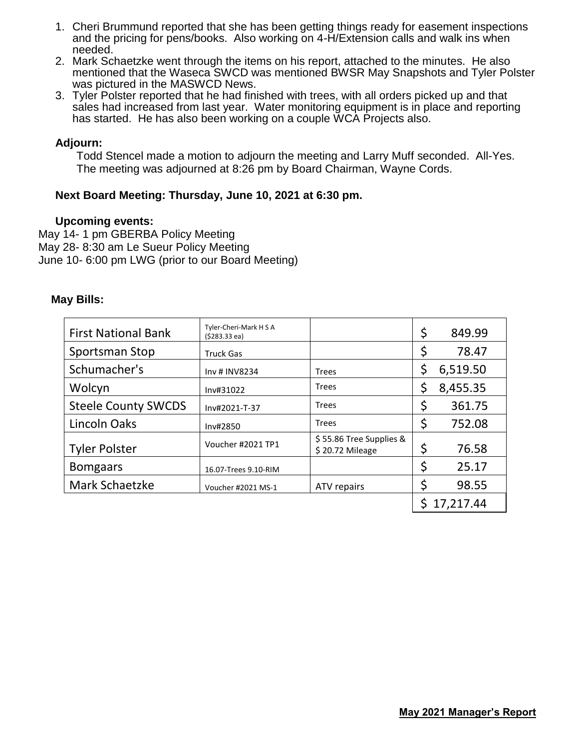- 1. Cheri Brummund reported that she has been getting things ready for easement inspections and the pricing for pens/books. Also working on 4-H/Extension calls and walk ins when needed.
- 2. Mark Schaetzke went through the items on his report, attached to the minutes. He also mentioned that the Waseca SWCD was mentioned BWSR May Snapshots and Tyler Polster was pictured in the MASWCD News.
- 3. Tyler Polster reported that he had finished with trees, with all orders picked up and that sales had increased from last year. Water monitoring equipment is in place and reporting has started. He has also been working on a couple WCA Projects also.

### **Adjourn:**

Todd Stencel made a motion to adjourn the meeting and Larry Muff seconded. All-Yes. The meeting was adjourned at 8:26 pm by Board Chairman, Wayne Cords.

# **Next Board Meeting: Thursday, June 10, 2021 at 6:30 pm.**

#### **Upcoming events:**

May 14- 1 pm GBERBA Policy Meeting May 28- 8:30 am Le Sueur Policy Meeting June 10- 6:00 pm LWG (prior to our Board Meeting)

#### **May Bills:**

| <b>First National Bank</b> | Tyler-Cheri-Mark H S A<br>$(5283.33$ ea) |                                            | \$ | 849.99    |
|----------------------------|------------------------------------------|--------------------------------------------|----|-----------|
| Sportsman Stop             | <b>Truck Gas</b>                         |                                            | \$ | 78.47     |
| Schumacher's               | Inv # INV8234                            | <b>Trees</b>                               |    | 6,519.50  |
| Wolcyn                     | Inv#31022                                | <b>Trees</b>                               | \$ | 8,455.35  |
| <b>Steele County SWCDS</b> | Inv#2021-T-37                            | <b>Trees</b>                               | \$ | 361.75    |
| Lincoln Oaks               | Inv#2850                                 | <b>Trees</b>                               | \$ | 752.08    |
| <b>Tyler Polster</b>       | Voucher #2021 TP1                        | \$55.86 Tree Supplies &<br>\$20.72 Mileage | \$ | 76.58     |
| <b>Bomgaars</b>            | 16.07-Trees 9.10-RIM                     |                                            | \$ | 25.17     |
| Mark Schaetzke             | Voucher #2021 MS-1                       | ATV repairs                                | \$ | 98.55     |
|                            |                                          |                                            | S. | 17,217.44 |